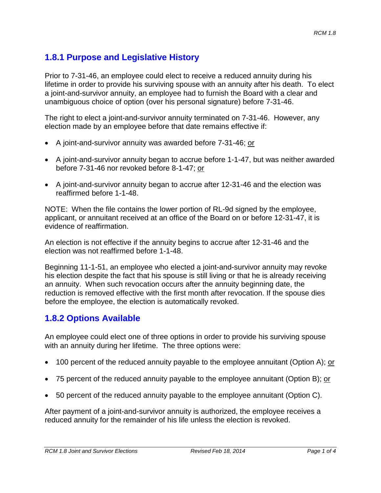### **1.8.1 Purpose and Legislative History**

Prior to 7-31-46, an employee could elect to receive a reduced annuity during his lifetime in order to provide his surviving spouse with an annuity after his death. To elect a joint-and-survivor annuity, an employee had to furnish the Board with a clear and unambiguous choice of option (over his personal signature) before 7-31-46.

The right to elect a joint-and-survivor annuity terminated on 7-31-46. However, any election made by an employee before that date remains effective if:

- A joint-and-survivor annuity was awarded before 7-31-46; or
- A joint-and-survivor annuity began to accrue before 1-1-47, but was neither awarded before 7-31-46 nor revoked before 8-1-47; or
- A joint-and-survivor annuity began to accrue after 12-31-46 and the election was reaffirmed before 1-1-48.

NOTE: When the file contains the lower portion of RL-9d signed by the employee, applicant, or annuitant received at an office of the Board on or before 12-31-47, it is evidence of reaffirmation.

An election is not effective if the annuity begins to accrue after 12-31-46 and the election was not reaffirmed before 1-1-48.

Beginning 11-1-51, an employee who elected a joint-and-survivor annuity may revoke his election despite the fact that his spouse is still living or that he is already receiving an annuity. When such revocation occurs after the annuity beginning date, the reduction is removed effective with the first month after revocation. If the spouse dies before the employee, the election is automatically revoked.

#### **1.8.2 Options Available**

An employee could elect one of three options in order to provide his surviving spouse with an annuity during her lifetime. The three options were:

- 100 percent of the reduced annuity payable to the employee annuitant (Option A); or
- 75 percent of the reduced annuity payable to the employee annuitant (Option B); or
- 50 percent of the reduced annuity payable to the employee annuitant (Option C).

After payment of a joint-and-survivor annuity is authorized, the employee receives a reduced annuity for the remainder of his life unless the election is revoked.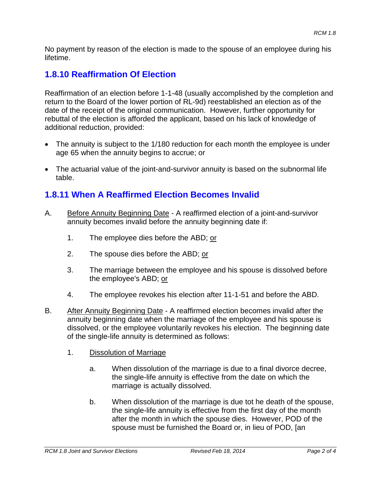No payment by reason of the election is made to the spouse of an employee during his lifetime.

# **1.8.10 Reaffirmation Of Election**

Reaffirmation of an election before 1-1-48 (usually accomplished by the completion and return to the Board of the lower portion of RL-9d) reestablished an election as of the date of the receipt of the original communication. However, further opportunity for rebuttal of the election is afforded the applicant, based on his lack of knowledge of additional reduction, provided:

- The annuity is subject to the 1/180 reduction for each month the employee is under age 65 when the annuity begins to accrue; or
- The actuarial value of the joint-and-survivor annuity is based on the subnormal life table.

## **1.8.11 When A Reaffirmed Election Becomes Invalid**

- A. Before Annuity Beginning Date A reaffirmed election of a joint-and-survivor annuity becomes invalid before the annuity beginning date if:
	- 1. The employee dies before the ABD; or
	- 2. The spouse dies before the ABD; or
	- 3. The marriage between the employee and his spouse is dissolved before the employee's ABD; or
	- 4. The employee revokes his election after 11-1-51 and before the ABD.
- B. After Annuity Beginning Date A reaffirmed election becomes invalid after the annuity beginning date when the marriage of the employee and his spouse is dissolved, or the employee voluntarily revokes his election. The beginning date of the single-life annuity is determined as follows:
	- 1. Dissolution of Marriage
		- a. When dissolution of the marriage is due to a final divorce decree, the single-life annuity is effective from the date on which the marriage is actually dissolved.
		- b. When dissolution of the marriage is due tot he death of the spouse, the single-life annuity is effective from the first day of the month after the month in which the spouse dies. However, POD of the spouse must be furnished the Board or, in lieu of POD, [an